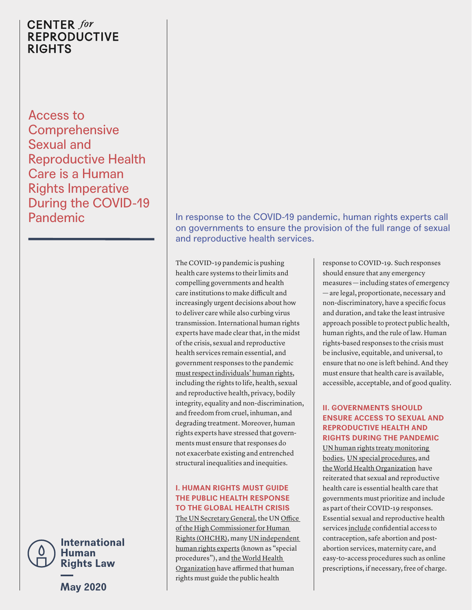# **CENTER** for **REPRODUCTIVE RIGHTS**

Access to **Comprehensive** Sexual and Reproductive Health Care is a Human Rights Imperative During the COVID-19



**Rights Law** 

**May 2020**

# **Pandemic In response to the COVID-19 pandemic, human rights experts call** on governments to ensure the provision of the full range of sexual and reproductive health services.

The COVID-19 pandemic is pushing health care systems to their limits and compelling governments and health care institutions to make difficult and increasingly urgent decisions about how to deliver care while also curbing virus transmission. International human rights experts have made clear that, in the midst of the crisis, sexual and reproductive health services remain essential, and government responses to the pandemic [must respect individuals' human rights,](https://reproductiverights.org/document/breaking-ground-2020-treaty-monitoring-bodies-reproductive-rights) including the rights to life, health, sexual and reproductive health, privacy, bodily integrity, equality and non-discrimination, and freedom from cruel, inhuman, and degrading treatment. Moreover, human rights experts have stressed that governments must ensure that responses do not exacerbate existing and entrenched structural inequalities and inequities.

## **I. HUMAN RIGHTS MUST GUIDE THE PUBLIC HEALTH RESPONSE TO THE GLOBAL HEALTH CRISIS**

[The UN Secretary General,](https://www.un.org/sites/un2.un.org/files/un_policy_brief_on_human_rights_and_covid_23_april_2020.pdf) the UN [Office](https://www.ohchr.org/EN/NewsEvents/Pages/COVID19Guidance.aspx)  [of the High Commissioner for Human](https://www.ohchr.org/EN/NewsEvents/Pages/COVID19Guidance.aspx)  [Rights](https://www.ohchr.org/EN/NewsEvents/Pages/COVID19Guidance.aspx) (OHCHR), many [UN independent](https://www.ohchr.org/EN/HRBodies/SP/Pages/COVID-19-and-Special-Procedures.aspx)  [human rights experts](https://www.ohchr.org/EN/HRBodies/SP/Pages/COVID-19-and-Special-Procedures.aspx) (known as "special procedures"), and the World Health [Organization](https://www.who.int/publications-detail/addressing-human-rights-as-key-to-the-covid-19-response) have affirmed that human rights must guide the public health

response to COVID-19. Such responses should ensure that any emergency measures — including states of emergency — are legal, proportionate, necessary and non-discriminatory, have a specific focus and duration, and take the least intrusive approach possible to protect public health, human rights, and the rule of law. Human rights-based responses to the crisis must be inclusive, equitable, and universal, to ensure that no one is left behind. And they must ensure that health care is available, accessible, acceptable, and of good quality.

### **II. GOVERNMENTS SHOULD ENSURE ACCESS TO SEXUAL AND REPRODUCTIVE HEALTH AND RIGHTS DURING THE PANDEMIC**

[UN human rights treaty monitoring](https://www.ohchr.org/Documents/HRBodies/CEDAW/Statements/CEDAW_Guidance_note_COVID-19.docx)  [bodies](https://www.ohchr.org/Documents/HRBodies/CEDAW/Statements/CEDAW_Guidance_note_COVID-19.docx), [UN special procedures,](https://www.ohchr.org/EN/NewsEvents/Pages/DisplayNews.aspx?NewsID=25808&LangID=E.) and [the World Health Organization](https://www.who.int/news-room/detail/30-03-2020-who-releases-guidelines-to-help-countries-maintain-essential-health-services-during-the-covid-19-pandemic) have reiterated that sexual and reproductive health care is essential health care that governments must prioritize and include as part of their COVID-19 responses. Essential sexual and reproductive health services [include](https://www.ohchr.org/Documents/HRBodies/CEDAW/Statements/CEDAW_Guidance_note_COVID-19.docx) confidential access to contraception, safe abortion and postabortion services, maternity care, and easy-to-access procedures such as online prescriptions, if necessary, free of charge.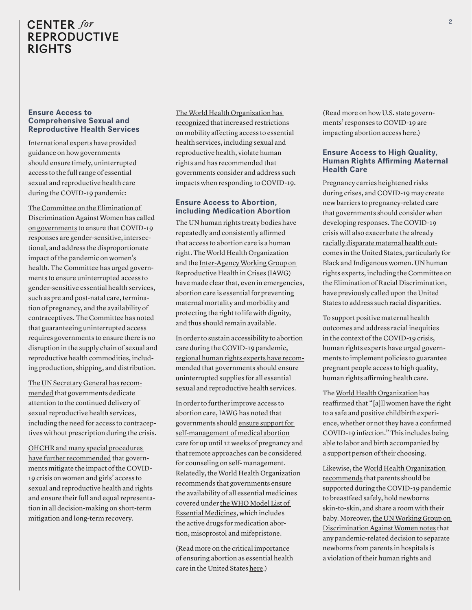# **CENTER** for **REPRODUCTIVE RIGHTS**

#### **Ensure Access to Comprehensive Sexual and Reproductive Health Services**

International experts have provided guidance on how governments should ensure timely, uninterrupted access to the full range of essential sexual and reproductive health care during the COVID-19 pandemic:

[The Committee on the Elimination of](https://www.ohchr.org/Documents/HRBodies/CEDAW/Statements/CEDAW_Guidance_note_COVID-19.docx)  [Discrimination Against Women has called](https://www.ohchr.org/Documents/HRBodies/CEDAW/Statements/CEDAW_Guidance_note_COVID-19.docx)  [on governments](https://www.ohchr.org/Documents/HRBodies/CEDAW/Statements/CEDAW_Guidance_note_COVID-19.docx) to ensure that COVID-19 responses are gender-sensitive, intersectional, and address the disproportionate impact of the pandemic on women's health. The Committee has urged governments to ensure uninterrupted access to gender-sensitive essential health services, such as pre and post-natal care, termination of pregnancy, and the availability of contraceptives. The Committee has noted that guaranteeing uninterrupted access requires governments to ensure there is no disruption in the supply chain of sexual and reproductive health commodities, including production, shipping, and distribution.

[The UN Secretary General has recom](https://www.un.org/sites/un2.un.org/files/sg_report_socio-economic_impact_of_covid19.pdf)[mended](https://www.un.org/sites/un2.un.org/files/sg_report_socio-economic_impact_of_covid19.pdf) that governments dedicate attention to the continued delivery of sexual reproductive health services, including the need for access to contraceptives without prescription during the crisis.

[OHCHR and many special procedures](https://www.un.org/sites/un2.un.org/files/un_policy_brief_on_human_rights_and_covid_23_april_2020.pdf)  [have further recommended](https://www.un.org/sites/un2.un.org/files/un_policy_brief_on_human_rights_and_covid_23_april_2020.pdf) that governments mitigate the impact of the COVID-19 crisis on women and girls' access to sexual and reproductive health and rights and ensure their full and equal representation in all decision-making on short-term mitigation and long-term recovery.

[The World Health Organization has](https://www.who.int/publications-detail/addressing-human-rights-as-key-to-the-covid-19-response)  [recognized](https://www.who.int/publications-detail/addressing-human-rights-as-key-to-the-covid-19-response) that increased restrictions on mobility affecting access to essential health services, including sexual and reproductive health, violate human rights and has recommended that governments consider and address such impacts when responding to COVID-19.

#### **Ensure Access to Abortion, including Medication Abortion**

The [UN human rights treaty bodies](https://reproductiverights.org/document/breaking-ground-2020-treaty-monitoring-bodies-reproductive-rights) have repeatedly and consistently [affirmed](https://reproductiverights.org/document/breaking-ground-2020-treaty-monitoring-bodies-reproductive-rights) that access to abortion care is a human right. [The World Health Organization](https://www.who.int/hac/events/drm_fact_sheet_sexual_and_reproductive_health.pdf) and the [Inter-Agency Working Group on](https://iawg.net/resources/safe-abortion-care-in-the-minimum-initial-service-package-misp-for-sexual-and-reproductive-health-in-humanitarian-settings)  [Reproductive Health in Crises](https://iawg.net/resources/safe-abortion-care-in-the-minimum-initial-service-package-misp-for-sexual-and-reproductive-health-in-humanitarian-settings) (IAWG) have made clear that, even in emergencies, abortion care is essential for preventing maternal mortality and morbidity and protecting the right to life with dignity, and thus should remain available.

In order to sustain accessibility to abortion care during the COVID-19 pandemic, [regional human rights experts have recom](https://reliefweb.int/sites/reliefweb.int/files/resources/Regional%20Operative%20Guidance-SRMNCAH%20services_final_170420..pdf)[mended](https://reliefweb.int/sites/reliefweb.int/files/resources/Regional%20Operative%20Guidance-SRMNCAH%20services_final_170420..pdf) that governments should ensure uninterrupted supplies for all essential sexual and reproductive health services.

In order to further improve access to abortion care, IAWG has noted that governments should ensure support for self-management of medical abortion care for up until 12 weeks of pregnancy and that remote approaches can be considered for counseling on self- management. Relatedly, the World Health Organization recommends that governments ensure the availability of all essential medicines covered under [the WHO Model List of](https://apps.who.int/iris/bitstream/handle/10665/325771/WHO-MVP-EMP-IAU-2019.06-eng.pdf?ua=1)  [Essential Medicines,](https://apps.who.int/iris/bitstream/handle/10665/325771/WHO-MVP-EMP-IAU-2019.06-eng.pdf?ua=1) which includes the active drugs for medication abortion, misoprostol and mifepristone.

(Read more on the critical importance of ensuring abortion as essential health care in the United States [here](https://reproductiverights.org/document/abortion-is-essential-health-care-access-is-imperative-during-covid-19).)

(Read more on how U.S. state governments' responses to COVID-19 are impacting abortion access [here](https://reproductiverights.org/document/how-state-covid-19-orders-can-impact-abortion-access).)

#### **Ensure Access to High Quality, Human Rights Affirming Maternal Health Care**

Pregnancy carries heightened risks during crises, and COVID-19 may create new barriers to pregnancy-related care that governments should consider when developing responses. The COVID-19 crisis will also exacerbate the already [racially disparate maternal health out](https://www.cdc.gov/mmwr/volumes/68/wr/mm6818e1.htm)[comes](https://www.cdc.gov/mmwr/volumes/68/wr/mm6818e1.htm) in the United States, particularly for Black and Indigenous women. UN human rights experts, including [the Committee on](http://docstore.ohchr.org/SelfServices/FilesHandler.ashx?enc=6QkG1d%2fPPRiCAqhKb7yhspzOl9YwTXeABruAM8pBAK1Q%2fDZ6XAqlyobgts1zwlHPkQhsSqMrVxuS6brQbHYpDYGXBUCX1bgRtTg3HaweAr5PBs9soaesD5KdByekI9OS)  [the Elimination of Racial Discrimination,](http://docstore.ohchr.org/SelfServices/FilesHandler.ashx?enc=6QkG1d%2fPPRiCAqhKb7yhspzOl9YwTXeABruAM8pBAK1Q%2fDZ6XAqlyobgts1zwlHPkQhsSqMrVxuS6brQbHYpDYGXBUCX1bgRtTg3HaweAr5PBs9soaesD5KdByekI9OS) have previously called upon the United States to address such racial disparities.

To support positive maternal health outcomes and address racial inequities in the context of the COVID-19 crisis, human rights experts have urged governments to implement policies to guarantee pregnant people access to high quality, human rights affirming health care.

The [World Health Organization](https://www.who.int/images/default-source/health-topics/coronavirus/pregnancy-breastfeeding/who---pregnancy---3.png) has reaffirmed that "[a]ll women have the right to a safe and positive childbirth experience, whether or not they have a confirmed COVID-19 infection." This includes being able to labor and birth accompanied by a support person of their choosing.

Likewise, the [World Health Organization](https://www.who.int/images/default-source/health-topics/coronavirus/pregnancy-breastfeeding/who---pregnancy---4.png)  [recommends](https://www.who.int/images/default-source/health-topics/coronavirus/pregnancy-breastfeeding/who---pregnancy---4.png) that parents should be supported during the COVID-19 pandemic to breastfeed safely, hold newborns skin-to-skin, and share a room with their baby. Moreover, [the UN Working Group on](https://www.ohchr.org/EN/NewsEvents/Pages/DisplayNews.aspx?NewsID=25808&LangID=E)  [Discrimination Against Women notes](https://www.ohchr.org/EN/NewsEvents/Pages/DisplayNews.aspx?NewsID=25808&LangID=E) that any pandemic-related decision to separate newborns from parents in hospitals is a violation of their human rights and